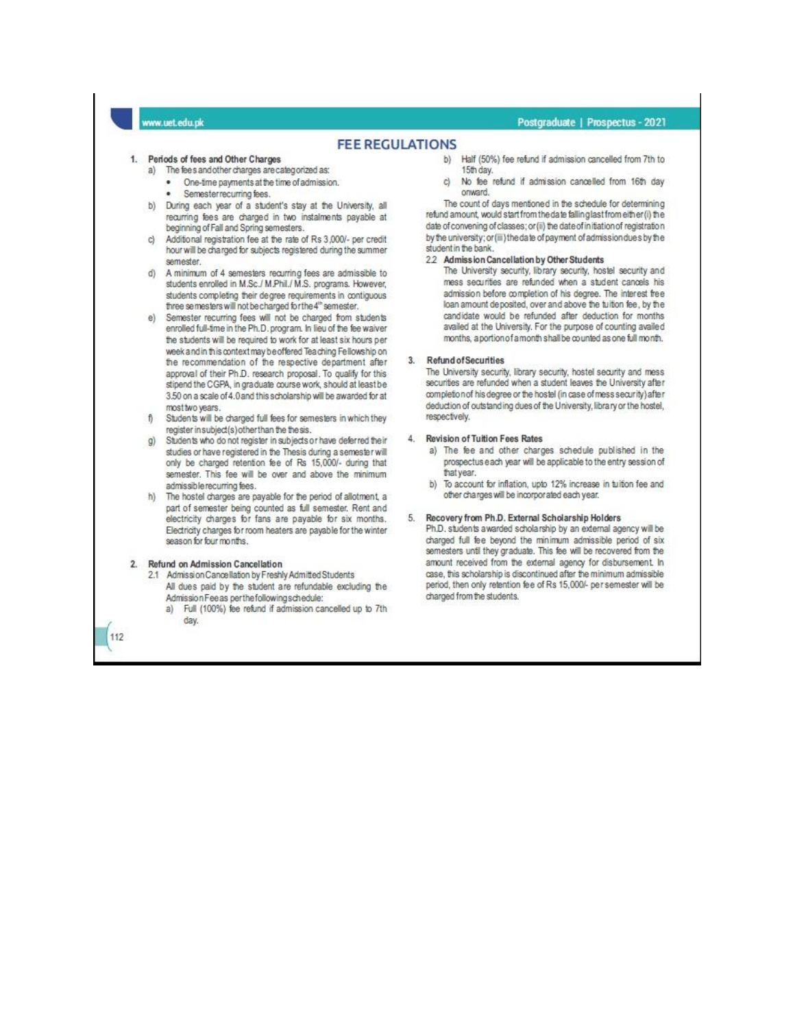### w.uet.edu.pk

### Postgraduate | Prospectus - 2021

### **FEE REGULATIONS**

#### 1. Periods of fees and Other Charges

- a) The fee's and other charges are categorized as:
	- One-time payments at the time of admission.
	- Semester recurring fees.
- During each year of a student's stay at the University, all b) recurring fees are charged in two instalments payable at beginning of Fall and Spring semesters.
- Additional registration fee at the rate of Rs 3,000/- per credit hour will be charged for subjects registered during the summer semester.
- A minimum of 4 semesters recurring fees are admissible to students enrolled in M.Sc./ M.Phil./ M.S. programs. However, students completing their degree requirements in contiguous three semesters will not be charged for the 4th semester.
- e) Semester recurring fees will not be charged from students enrolled full-time in the Ph.D. program. In lieu of the fee waiver the students will be required to work for at least six hours per week and in this context may be offered Teaching Fellowship on the recommendation of the respective department after approval of their Ph.D. research proposal. To qualify for this stipend the CGPA, in graduate course work, should at least be 3.50 on a scale of 4.0 and this scholarship will be awarded for at most two years.
- Students will be charged full fees for semesters in which they register in subject(s) other than the the sis.
- Students who do not register in subjects or have deferred their studies or have registered in the Thesis during a semester will only be charged retention fee of Rs 15,000/- during that semester. This fee will be over and above the minimum admissible recurring fees.
- h) The hostel charges are payable for the period of allotment, a part of semester being counted as full semester. Rent and electricity charges for fans are payable for six months. Electricity charges for room heaters are payable for the winter season for four months.

#### 2. Refund on Admission Cancellation

112

- 2.1 Admission Cancellation by Freshly Admitted Students All dues paid by the student are refundable excluding the Admission Fee as perthe following schedule:
	- Full (100%) fee refund if admission cancelled up to 7th  $a)$ day.
- b) Half (50%) fee refund if admission cancelled from 7th to 15th day
- No fee refund if admission cancelled from 16th day cì onward.

The count of days mentioned in the schedule for determining refund amount, would start from the date falling last from either (i) the date of convening of classes; or (ii) the date of initiation of registration by the university; or (iii) the date of payment of admission dues by the student in the bank.

#### 2.2 Admission Cancellation by Other Students

The University security, library security, hostel security and mess securities are refunded when a student cancels his admission before completion of his degree. The interest free loan amount deposited, over and above the tuition fee, by the candidate would be refunded after deduction for months availed at the University. For the purpose of counting availed months, aportion of a month shall be counted as one full month.

#### 3. Refund of Securities

The University security, library security, hostel security and mess securities are refunded when a student leaves the University after completion of his degree or the hostel (in case of mess security) after deduction of outstanding dues of the University, library or the hostel, respectively.

#### 4. Revision of Tuition Fees Rates

- a) The fee and other charges schedule published in the prospectus each year will be applicable to the entry session of that year.
- b) To account for inflation, upto 12% increase in tuition fee and other charges will be incorporated each year.

#### 5. Recovery from Ph.D. External Scholarship Holders

Ph.D. students awarded scholarship by an external agency will be charged full fee beyond the minimum admissible period of six semesters until they graduate. This fee will be recovered from the amount received from the external agency for disbursement. In case, this scholarship is discontinued after the minimum admissible period, then only retention fee of Rs 15,000/- per semester will be charged from the students.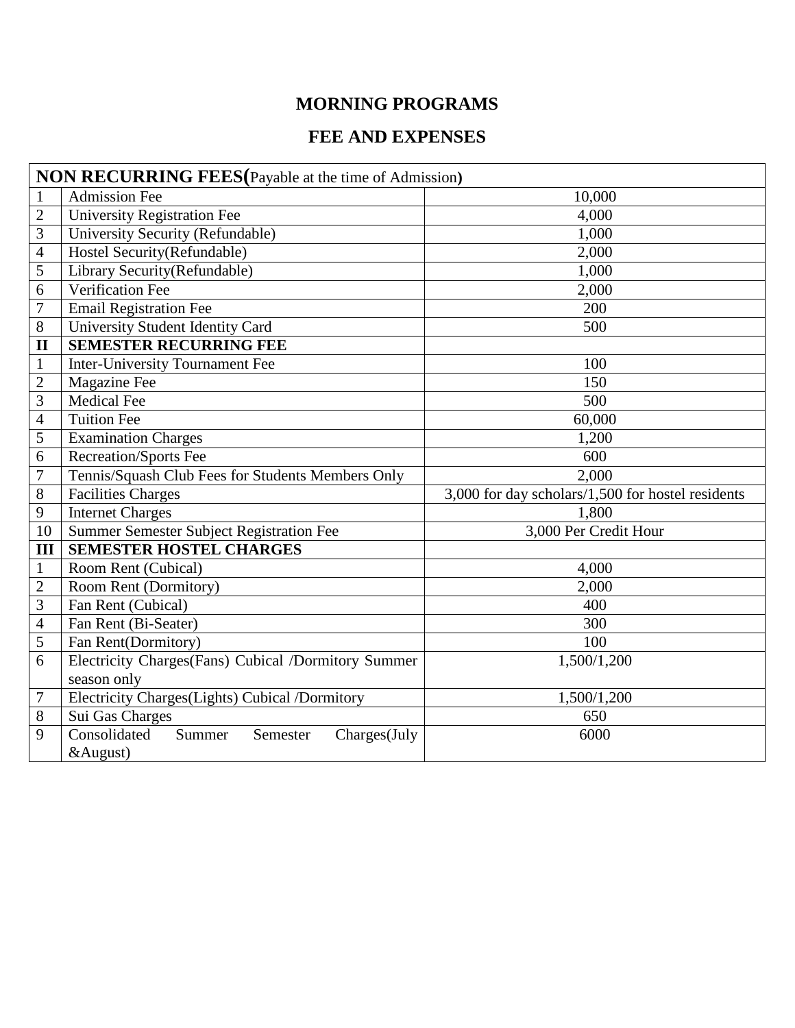# **MORNING PROGRAMS**

# **FEE AND EXPENSES**

| <b>NON RECURRING FEES</b> (Payable at the time of Admission) |                                                     |                                                   |  |  |
|--------------------------------------------------------------|-----------------------------------------------------|---------------------------------------------------|--|--|
| $\mathbf{1}$                                                 | <b>Admission Fee</b>                                | 10,000                                            |  |  |
| $\overline{2}$                                               | <b>University Registration Fee</b>                  | 4,000                                             |  |  |
| 3                                                            | University Security (Refundable)                    | 1,000                                             |  |  |
| $\overline{4}$                                               | Hostel Security(Refundable)                         | 2,000                                             |  |  |
| 5                                                            | Library Security (Refundable)                       | 1,000                                             |  |  |
| 6                                                            | Verification Fee                                    | 2,000                                             |  |  |
| $\overline{7}$                                               | <b>Email Registration Fee</b>                       | 200                                               |  |  |
| 8                                                            | University Student Identity Card                    | 500                                               |  |  |
| $\mathbf{I}$                                                 | <b>SEMESTER RECURRING FEE</b>                       |                                                   |  |  |
| $\mathbf{1}$                                                 | Inter-University Tournament Fee                     | 100                                               |  |  |
| $\overline{2}$                                               | Magazine Fee                                        | 150                                               |  |  |
| 3                                                            | <b>Medical Fee</b>                                  | 500                                               |  |  |
| 4                                                            | <b>Tuition Fee</b>                                  | 60,000                                            |  |  |
| 5                                                            | Examination Charges                                 | 1,200                                             |  |  |
| 6                                                            | <b>Recreation/Sports Fee</b>                        | 600                                               |  |  |
| $\overline{7}$                                               | Tennis/Squash Club Fees for Students Members Only   | 2,000                                             |  |  |
| 8                                                            | <b>Facilities Charges</b>                           | 3,000 for day scholars/1,500 for hostel residents |  |  |
| 9                                                            | <b>Internet Charges</b>                             | 1,800                                             |  |  |
| 10                                                           | Summer Semester Subject Registration Fee            | 3,000 Per Credit Hour                             |  |  |
| III                                                          | <b>SEMESTER HOSTEL CHARGES</b>                      |                                                   |  |  |
| $\mathbf{1}$                                                 | Room Rent (Cubical)                                 | 4,000                                             |  |  |
| $\mathbf{2}$                                                 | Room Rent (Dormitory)                               | 2,000                                             |  |  |
| 3                                                            | Fan Rent (Cubical)                                  | 400                                               |  |  |
| $\overline{\mathcal{A}}$                                     | Fan Rent (Bi-Seater)                                | 300                                               |  |  |
| 5                                                            | Fan Rent(Dormitory)                                 | 100                                               |  |  |
| 6                                                            | Electricity Charges(Fans) Cubical /Dormitory Summer | 1,500/1,200                                       |  |  |
|                                                              | season only                                         |                                                   |  |  |
| 7                                                            | Electricity Charges(Lights) Cubical /Dormitory      | 1,500/1,200                                       |  |  |
| 8                                                            | Sui Gas Charges                                     | 650                                               |  |  |
| 9                                                            | Consolidated<br>Summer<br>Semester<br>Charges(July  | 6000                                              |  |  |
|                                                              | &August)                                            |                                                   |  |  |